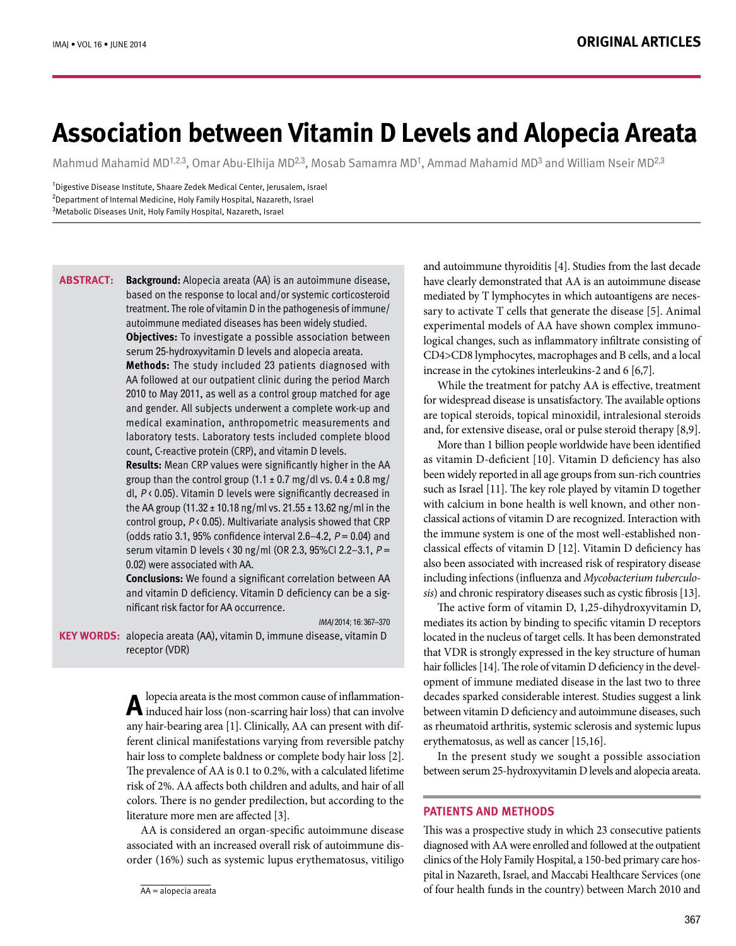# **Association between Vitamin D Levels and Alopecia Areata**

Mahmud Mahamid MD<sup>1,2,3</sup>, Omar Abu-Elhija MD<sup>2,3</sup>, Mosab Samamra MD<sup>1</sup>, Ammad Mahamid MD<sup>3</sup> and William Nseir MD<sup>2,3</sup>

IMAI 2014: 16: 367-370

<sup>1</sup>Digestive Disease Institute, Shaare Zedek Medical Center, Jerusalem, Israel <sup>2</sup>Department of Internal Medicine, Holy Family Hospital, Nazareth, Israel  $^3$ Metabolic Diseases Unit, Holy Family Hospital, Nazareth, Israel

Background: Alopecia areata (AA) is an autoimmune disease, based on the response to local and/or systemic corticosteroid treatment. The role of vitamin D in the pathogenesis of immune/ autoimmune mediated diseases has been widely studied. **Objectives:** To investigate a possible association between serum 25-hydroxyvitamin D levels and alopecia areata. **Methods:** The study included 23 patients diagnosed with AA followed at our outpatient clinic during the period March 2010 to May 2011, as well as a control group matched for age and gender. All subjects underwent a complete work-up and medical examination, anthropometric measurements and laboratory tests. Laboratory tests included complete blood count. C-reactive protein (CRP), and vitamin D levels. **Results:** Mean CRP values were significantly higher in the AA group than the control group  $(1.1 \pm 0.7 \text{ mg/dl vs. } 0.4 \pm 0.8 \text{ mg/m})$ **:Abstract**

dl,  $P$  < 0.05). Vitamin D levels were significantly decreased in the AA group (11.32  $\pm$  10.18 ng/ml vs. 21.55  $\pm$  13.62 ng/ml in the control group,  $P \triangleleft 0.05$ ). Multivariate analysis showed that CRP (odds ratio 3.1, 95% confidence interval 2.6–4.2,  $P = 0.04$ ) and serum vitamin D levels < 30 ng/ml (OR 2.3, 95% CI 2.2 - 3.1,  $P =$ 0.02) were associated with AA.

**Conclusions:** We found a significant correlation between AA and vitamin D deficiency. Vitamin D deficiency can be a sig-<br>nificant risk factor for AA occurrence.

KEY WORDS: alopecia areata (AA), vitamin D, immune disease, vitamin D receptor (VDR)

> **A** lopecia areata is the most common cause of inflammation-<br>induced hair loss (non-scarring hair loss) that can involve any hair-bearing area [1]. Clinically, AA can present with dif ferent clinical manifestations varying from reversible patchy hair loss to complete baldness or complete body hair loss [2]. The prevalence of AA is 0.1 to 0.2%, with a calculated lifetime risk of 2%. AA affects both children and adults, and hair of all colors. There is no gender predilection, but according to the literature more men are affected [3].

> AA is considered an organ-specific autoimmune disease order (16%) such as systemic lupus erythematosus, vitiligo associated with an increased overall risk of autoimmune dis-

and autoimmune thyroiditis [4]. Studies from the last decade have clearly demonstrated that AA is an autoimmune disease sary to activate  $T$  cells that generate the disease [5]. Animal mediated by T lymphocytes in which autoantigens are neceslogical changes, such as inflammatory infiltrate consisting of experimental models of AA have shown complex immuno-CD4>CD8 lymphocytes, macrophages and B cells, and a local increase in the cytokines interleukins -2 and  $6$  [6,7].

While the treatment for patchy AA is effective, treatment for widespread disease is unsatisfactory. The available options are topical steroids, topical minoxidil, intralesional steroids and, for extensive disease, oral or pulse steroid therapy  $[8,9]$ .

More than 1 billion people worldwide have been identified as vitamin D-deficient [10]. Vitamin D deficiency has also been widely reported in all age groups from sun-rich countries such as Israel [11]. The key role played by vitamin D together classical actions of vitamin D are recognized. Interaction with with calcium in bone health is well known, and other nonclassical effects of vitamin  $D$  [12]. Vitamin  $D$  deficiency has the immune system is one of the most well-established nonalso been associated with increased risk of respiratory disease sis) and chronic respiratory diseases such as cystic fibrosis [13]. including infections (influenza and Mycobacterium tuberculo-

The active form of vitamin  $D$ , 1,25-dihydroxyvitamin  $D$ , mediates its action by binding to specific vitamin D receptors located in the nucleus of target cells. It has been demonstrated that VDR is strongly expressed in the key structure of human opment of immune mediated disease in the last two to three hair follicles [14]. The role of vitamin D deficiency in the develdecades sparked considerable interest. Studies suggest a link between vitamin D deficiency and autoimmune diseases, such as rheumatoid arthritis, systemic sclerosis and systemic lupus erythematosus, as well as cancer  $[15,16]$ .

In the present study we sought a possible association between serum 25-hydroxyvitamin D levels and alopecia areata.

## **PATIENTS AND METHODS**

This was a prospective study in which 23 consecutive patients diagnosed with AA were enrolled and followed at the outpatient pital in Nazareth, Israel, and Maccabi Healthcare Services (one clinics of the Holy Family Hospital, a 150-bed primary care hosof four health funds in the country) between March 2010 and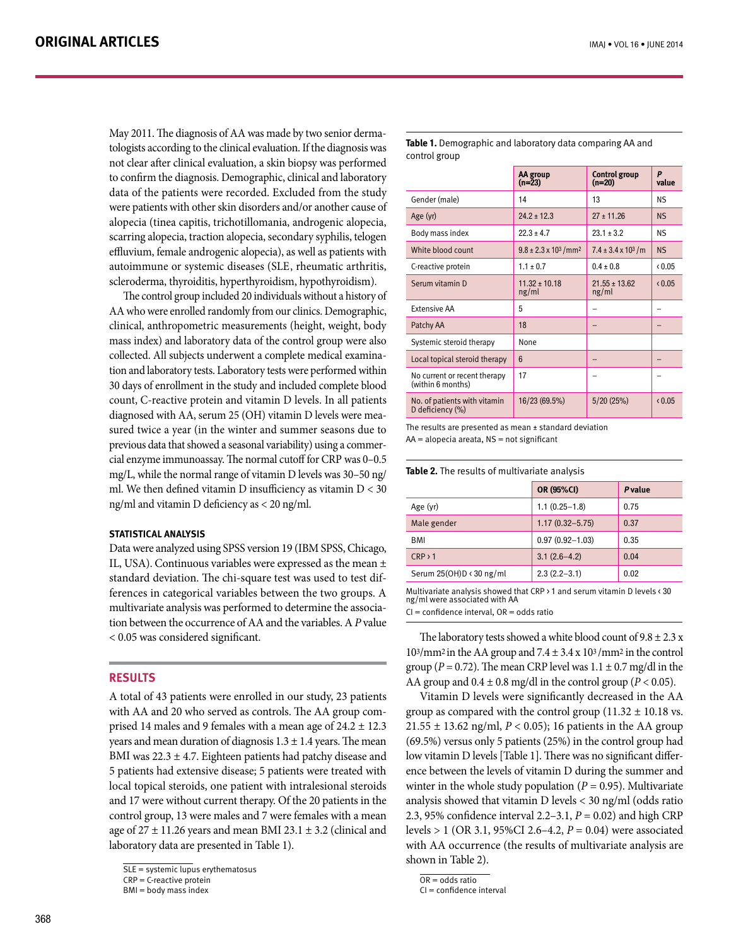tologists according to the clinical evaluation. If the diagnosis was May 2011. The diagnosis of AA was made by two senior dermanot clear after clinical evaluation, a skin biopsy was performed to confirm the diagnosis. Demographic, clinical and laboratory data of the patients were recorded. Excluded from the study were patients with other skin disorders and/or another cause of alopecia (tinea capitis, trichotillomania, androgenic alopecia, scarring alopecia, traction alopecia, secondary syphilis, telogen effluvium, female androgenic alopecia), as well as patients with autoimmune or systemic diseases (SLE, rheumatic arthritis, scleroderma, thyroiditis, hyperthyroidism, hypothyroidism).

The control group included 20 individuals without a history of AA who were enrolled randomly from our clinics. Demographic, clinical, anthropometric measurements (height, weight, body mass index) and laboratory data of the control group were also tion and laboratory tests. Laboratory tests were performed within collected. All subjects underwent a complete medical examina-30 days of enrollment in the study and included complete blood count, C-reactive protein and vitamin D levels. In all patients sured twice a year (in the winter and summer seasons due to diagnosed with AA, serum 25 (OH) vitamin D levels were meaprevious data that showed a seasonal variability) using a commer-<br>cial enzyme immunoassay. The normal cutoff for CRP was 0–0.5 previous data that showed a seasonal variability) using a commermg/L, while the normal range of vitamin D levels was  $30-50$  ng/ ml. We then defined vitamin D insufficiency as vitamin  $D < 30$ ng/ml and vitamin D deficiency as  $<$  20 ng/ml.

#### **STATISTICAL ANALYSIS**

Data were analyzed using SPSS version 19 (IBM SPSS, Chicago, IL, USA). Continuous variables were expressed as the mean  $\pm$ ferences in categorical variables between the two groups. A standard deviation. The chi-square test was used to test diftion between the occurrence of AA and the variables. A P value multivariate analysis was performed to determine the associa- $< 0.05$  was considered significant.

## **RESULTS**

A total of 43 patients were enrolled in our study, 23 patients prised 14 males and 9 females with a mean age of  $24.2 \pm 12.3$ with AA and 20 who served as controls. The AA group comvears and mean duration of diagnosis  $1.3 \pm 1.4$  years. The mean BMI was  $22.3 \pm 4.7$ . Eighteen patients had patchy disease and 5 patients had extensive disease; 5 patients were treated with local topical steroids, one patient with intralesional steroids and 17 were without current therapy. Of the 20 patients in the control group, 13 were males and 7 were females with a mean age of  $27 \pm 11.26$  years and mean BMI  $23.1 \pm 3.2$  (clinical and laboratory data are presented in Table 1).

**Table 1.** Demographic and laboratory data comparing AA and control group

|                                                   | AA group<br>$(n=23)$                          | <b>Control group</b><br>(n=20) | P<br>value     |
|---------------------------------------------------|-----------------------------------------------|--------------------------------|----------------|
| Gender (male)                                     | 14                                            | 13                             | NS.            |
| Age (yr)                                          | $24.2 \pm 12.3$                               | $27 \pm 11.26$                 | NS.            |
| Body mass index                                   | $22.3 \pm 4.7$                                | $23.1 \pm 3.2$                 | NS.            |
| White blood count                                 | $9.8 \pm 2.3 \times 10^{3}$ / mm <sup>2</sup> | $7.4 \pm 3.4 \times 10^3$ /m   | N <sub>S</sub> |
| C-reactive protein                                | $1.1 \pm 0.7$                                 | $0.4 \pm 0.8$                  | < 0.05         |
| Serum vitamin D                                   | $11.32 \pm 10.18$<br>ng/ml                    | $21.55 \pm 13.62$<br>ng/ml     | (0.05)         |
| <b>Extensive AA</b>                               | 5                                             |                                |                |
| Patchy AA                                         | 18                                            |                                |                |
| Systemic steroid therapy                          | None                                          |                                |                |
| Local topical steroid therapy                     | $6\overline{6}$                               |                                |                |
| No current or recent therapy<br>(within 6 months) | 17                                            |                                |                |
| No. of patients with vitamin<br>D deficiency (%)  | 16/23 (69.5%)                                 | 5/20(25%)                      | 0.05           |

The results are presented as mean  $\pm$  standard deviation

 $AA =$ alopecia areata. NS = not significant

|  |  |  |  | Table 2. The results of multivariate analysis |  |
|--|--|--|--|-----------------------------------------------|--|
|--|--|--|--|-----------------------------------------------|--|

|                                 | OR (95%CI)          | <b>P</b> value |  |
|---------------------------------|---------------------|----------------|--|
| Age (yr)                        | $1.1(0.25-1.8)$     | 0.75           |  |
| Male gender                     | $1.17(0.32 - 5.75)$ | 0.37           |  |
| BMI                             | $0.97(0.92 - 1.03)$ | 0.35           |  |
| CRP > 1                         | $3.1(2.6-4.2)$      | 0.04           |  |
| Serum $25(OH)D \times 30$ ng/ml | $2.3(2.2-3.1)$      | 0.02           |  |

Multivariate analysis showed that CRP  $\frac{1}{2}$  and serum vitamin D levels  $\frac{1}{2}$  30  $np/ml$  were associated with AA

 $CI = confidence$  interval,  $OR = odds$  ratio

The laboratory tests showed a white blood count of  $9.8 \pm 2.3$  x  $10<sup>3</sup>/mm<sup>2</sup>$  in the AA group and  $7.4 \pm 3.4 \times 10<sup>3</sup>/mm<sup>2</sup>$  in the control group ( $P = 0.72$ ). The mean CRP level was  $1.1 \pm 0.7$  mg/dl in the AA group and  $0.4 \pm 0.8$  mg/dl in the control group ( $P < 0.05$ ).

Vitamin D levels were significantly decreased in the AA group as compared with the control group  $(11.32 \pm 10.18 \text{ vs.})$  $21.55 \pm 13.62$  ng/ml,  $P < 0.05$ ); 16 patients in the AA group  $(69.5%)$  versus only 5 patients  $(25%)$  in the control group had ence between the levels of vitamin D during the summer and low vitamin D levels [Table 1]. There was no significant differwinter in the whole study population ( $P = 0.95$ ). Multivariate analysis showed that vitamin D levels  $<$  30 ng/ml (odds ratio 2.3, 95% confidence interval 2.2–3.1,  $P = 0.02$ ) and high CRP levels > 1 (OR 3.1, 95%CI 2.6–4.2,  $P = 0.04$ ) were associated with AA occurrence (the results of multivariate analysis are shown in Table 2).

 $\overline{SLE}$  = systemic lupus erythematosus

 $CRP = C$ -reactive protein

 $BMI = body$  mass index

 $OR = odds ratio$ 

 $Cl =$  confidence interval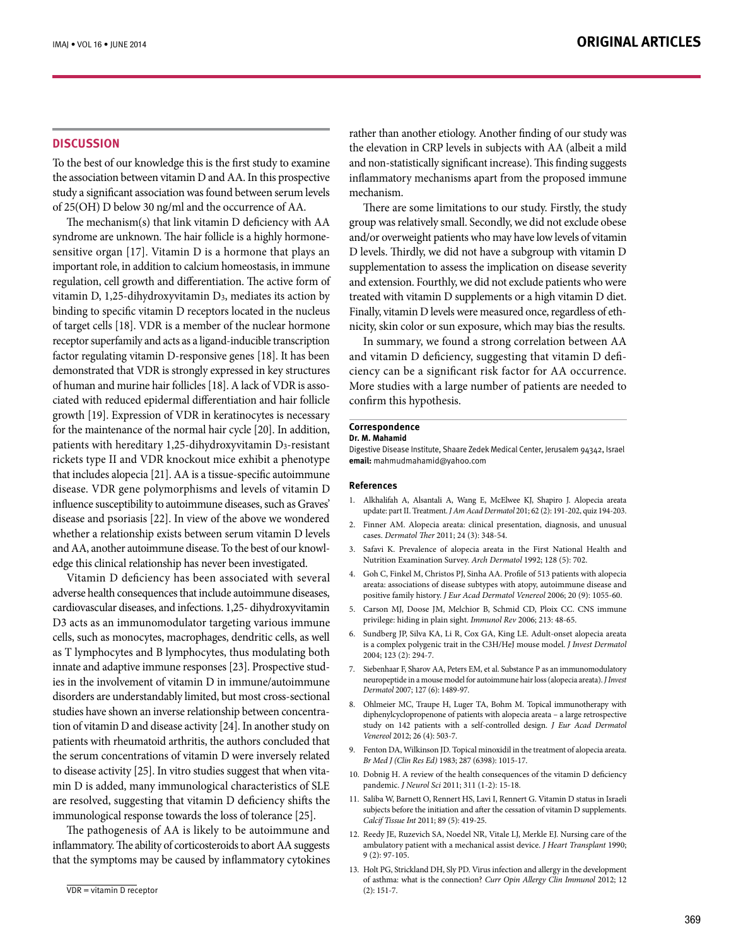#### **DISCUSSION**

To the best of our knowledge this is the first study to examine the association between vitamin D and AA. In this prospective study a significant association was found between serum levels of 25(OH) D below 30 ng/ml and the occurrence of AA.

The mechanism $(s)$  that link vitamin D deficiency with  $AA$ sensitive organ  $[17]$ . Vitamin D is a hormone that plays an syndrome are unknown. The hair follicle is a highly hormoneimportant role, in addition to calcium homeostasis, in immune regulation, cell growth and differentiation. The active form of vitamin D, 1,25-dihydroxyvitamin D<sub>3</sub>, mediates its action by binding to specific vitamin D receptors located in the nucleus of target cells [18]. VDR is a member of the nuclear hormone receptor superfamily and acts as a ligand-inducible transcription factor regulating vitamin D-responsive genes [18]. It has been demonstrated that VDR is strongly expressed in key structures ciated with reduced epidermal differentiation and hair follicle of human and murine hair follicles [18]. A lack of VDR is assogrowth [19]. Expression of VDR in keratinocytes is necessary for the maintenance of the normal hair cycle [20]. In addition, patients with hereditary 1,25-dihydroxyvitamin D<sub>3</sub>-resistant rickets type II and VDR knockout mice exhibit a phenotype that includes alopecia [21]. AA is a tissue-specific autoimmune disease. VDR gene polymorphisms and levels of vitamin D influence susceptibility to autoimmune diseases, such as Graves' disease and psoriasis [22]. In view of the above we wondered whether a relationship exists between serum vitamin D levels edge this clinical relationship has never been investigated. and AA, another autoimmune disease. To the best of our knowl-

Vitamin D deficiency has been associated with several adverse health consequences that include autoimmune diseases, cardiovascular diseases, and infections. 1,25- dihydroxyvitamin D3 acts as an immunomodulator targeting various immune cells, such as monocytes, macrophages, dendritic cells, as well as T lymphocytes and B lymphocytes, thus modulating both ies in the involvement of vitamin  $D$  in immune/autoimmune innate and adaptive immune responses [23]. Prospective studdisorders are understandably limited, but most cross-sectional tion of vitamin D and disease activity [24]. In another study on studies have shown an inverse relationship between concentrapatients with rheumatoid arthritis, the authors concluded that the serum concentrations of vitamin D were inversely related min D is added, many immunological characteristics of SLE to disease activity [25]. In vitro studies suggest that when vitaare resolved, suggesting that vitamin D deficiency shifts the immunological response towards the loss of tolerance [25].

The pathogenesis of AA is likely to be autoimmune and inflammatory. The ability of corticosteroids to abort AA suggests that the symptoms may be caused by inflammatory cytokines rather than another etiology. Another finding of our study was the elevation in CRP levels in subjects with AA (albeit a mild and non-statistically significant increase). This finding suggests inflammatory mechanisms apart from the proposed immune .mechanism

There are some limitations to our study. Firstly, the study group was relatively small. Secondly, we did not exclude obese and/or overweight patients who may have low levels of vitamin D levels. Thirdly, we did not have a subgroup with vitamin D supplementation to assess the implication on disease severity and extension. Fourthly, we did not exclude patients who were treated with vitamin D supplements or a high vitamin D diet. nicity, skin color or sun exposure, which may bias the results. Finally, vitamin D levels were measured once, regardless of eth-

In summary, we found a strong correlation between AA ciency can be a significant risk factor for AA occurrence. and vitamin D deficiency, suggesting that vitamin D defi-More studies with a large number of patients are needed to confirm this hypothesis.

## **Correspondence**

#### Dr. M. Mahamid

Digestive Disease Institute, Shaare Zedek Medical Center, Jerusalem 94342, Israel email: mahmudmahamid@yahoo.com

#### **References**

- 1. Alkhalifah A, Alsantali A, Wang E, McElwee KJ, Shapiro J. Alopecia areata update: part II. Treatment. J Am Acad Dermatol 201; 62 (2): 191-202, quiz 194-203.
- 2. Finner AM. Alopecia areata: clinical presentation, diagnosis, and unusual cases. Dermatol Ther 2011; 24 (3): 348-54.
- 3. Safavi K. Prevalence of alopecia areata in the First National Health and Nutrition Examination Survey. Arch Dermatol 1992; 128 (5): 702.
- 4. Goh C, Finkel M, Christos PJ, Sinha AA. Profile of 513 patients with alopecia areata: associations of disease subtypes with atopy, autoimmune disease and positive family history. J Eur Acad Dermatol Venereol 2006; 20 (9): 1055-60.
- 5. Carson MJ, Doose JM, Melchior B, Schmid CD, Ploix CC. CNS immune privilege: hiding in plain sight. Immunol Rev 2006; 213: 48-65.
- 6. Sundberg JP, Silva KA, Li R, Cox GA, King LE. Adult-onset alopecia areata is a complex polygenic trait in the C3H/HeJ mouse model. *J Invest Dermatol* 2004; 123 (2): 294-7.
- 7. Siebenhaar F, Sharov AA, Peters EM, et al. Substance P as an immunomodulatory neuropeptide in a mouse model for autoimmune hair loss (alopecia areata). *J Invest* Dermatol 2007; 127 (6): 1489-97.
- 8. Ohlmeier MC, Traupe H, Luger TA, Bohm M. Topical immunotherapy with diphenylcyclopropenone of patients with alopecia areata - a large retrospective study on 142 patients with a self-controlled design. *J Eur Acad Dermatol* Venereol 2012; 26 (4): 503-7.
- 9. Fenton DA, Wilkinson JD. Topical minoxidil in the treatment of alopecia areata. Br Med J (Clin Res Ed) 1983; 287 (6398): 1015-17.
- 10. Dobnig H. A review of the health consequences of the vitamin D deficiency pandemic. *J Neurol Sci* 2011; 311 (1-2): 15-18.
- 11. Saliba W, Barnett O, Rennert HS, Lavi I, Rennert G. Vitamin D status in Israeli subjects before the initiation and after the cessation of vitamin D supplements. Calcif Tissue Int 2011; 89 (5): 419-25.
- 12. Reedy JE, Ruzevich SA, Noedel NR, Vitale LJ, Merkle EJ. Nursing care of the ambulatory patient with a mechanical assist device. *J Heart Transplant* 1990;  $9(2): 97-105.$
- 13. Holt PG, Strickland DH, Sly PD. Virus infection and allergy in the development of asthma: what is the connection? Curr Opin Allergy Clin Immunol 2012; 12  $(2): 151-7.$